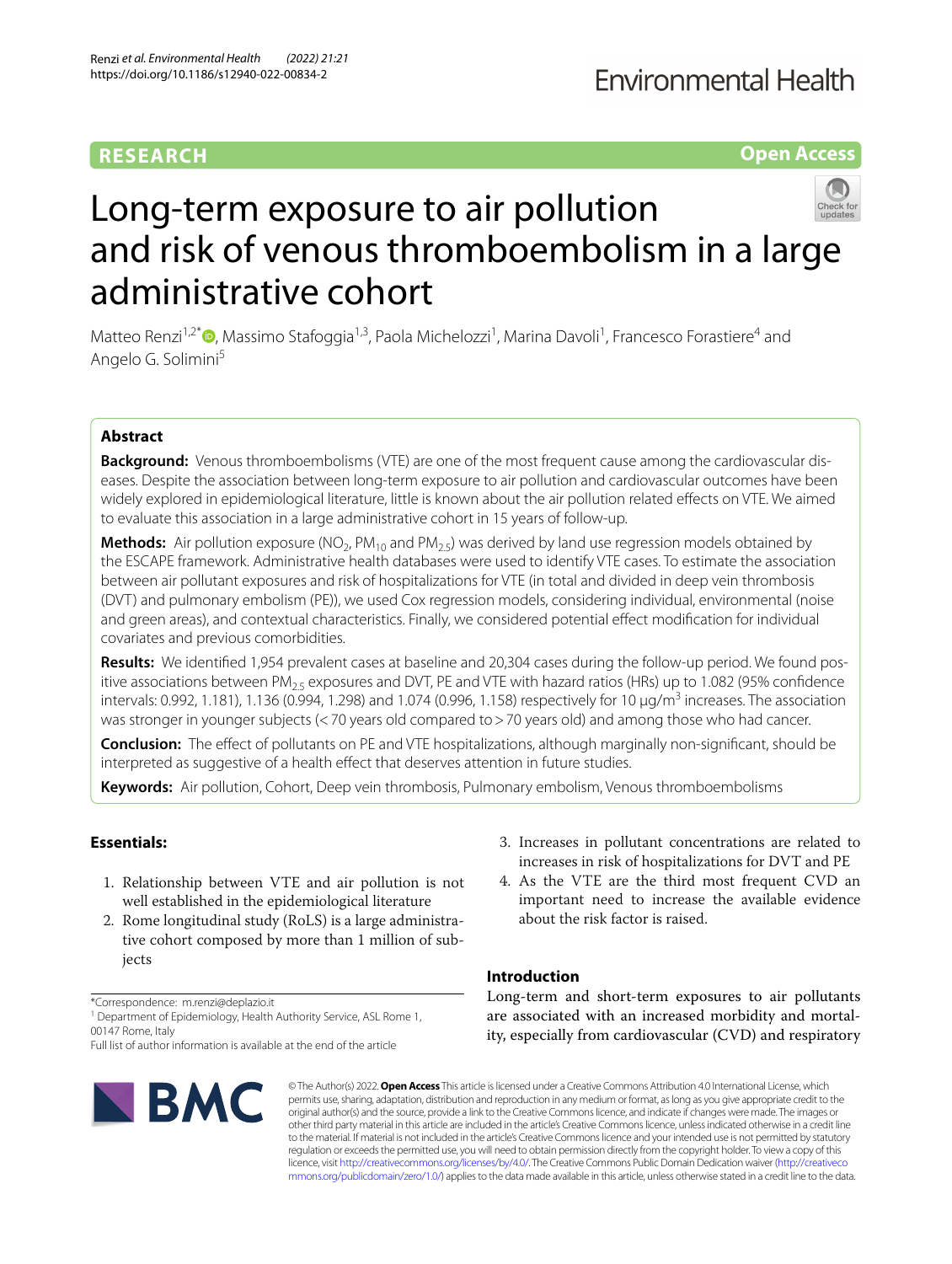## **RESEARCH**

**Open Access**



# Long-term exposure to air pollution and risk of venous thromboembolism in a large administrative cohort

Matteo Renzi<sup>1,2\*</sup><sup>®</sup>[,](http://orcid.org/0000-0002-0282-5378) Massimo Stafoggia<sup>1,3</sup>, Paola Michelozzi<sup>1</sup>, Marina Davoli<sup>1</sup>, Francesco Forastiere<sup>4</sup> and Angelo G. Solimini<sup>5</sup>

## **Abstract**

**Background:** Venous thromboembolisms (VTE) are one of the most frequent cause among the cardiovascular diseases. Despite the association between long-term exposure to air pollution and cardiovascular outcomes have been widely explored in epidemiological literature, little is known about the air pollution related efects on VTE. We aimed to evaluate this association in a large administrative cohort in 15 years of follow-up.

**Methods:** Air pollution exposure (NO<sub>2</sub>, PM<sub>10</sub> and PM<sub>2.5</sub>) was derived by land use regression models obtained by the ESCAPE framework. Administrative health databases were used to identify VTE cases. To estimate the association between air pollutant exposures and risk of hospitalizations for VTE (in total and divided in deep vein thrombosis (DVT) and pulmonary embolism (PE)), we used Cox regression models, considering individual, environmental (noise and green areas), and contextual characteristics. Finally, we considered potential efect modifcation for individual covariates and previous comorbidities.

**Results:** We identifed 1,954 prevalent cases at baseline and 20,304 cases during the follow-up period. We found positive associations between  $PM_{2.5}$  exposures and DVT, PE and VTE with hazard ratios (HRs) up to 1.082 (95% confidence intervals: 0.992, 1.181), 1.136 (0.994, 1.298) and 1.074 (0.996, 1.158) respectively for 10  $\mu$ g/m<sup>3</sup> increases. The association was stronger in younger subjects (<70 years old compared to>70 years old) and among those who had cancer.

**Conclusion:** The efect of pollutants on PE and VTE hospitalizations, although marginally non-signifcant, should be interpreted as suggestive of a health effect that deserves attention in future studies.

**Keywords:** Air pollution, Cohort, Deep vein thrombosis, Pulmonary embolism, Venous thromboembolisms

## **Essentials:**

- 1. Relationship between VTE and air pollution is not well established in the epidemiological literature
- 2. Rome longitudinal study (RoLS) is a large administrative cohort composed by more than 1 million of subjects

\*Correspondence: m.renzi@deplazio.it

<sup>1</sup> Department of Epidemiology, Health Authority Service, ASL Rome 1, 00147 Rome, Italy

Full list of author information is available at the end of the article



- 3. Increases in pollutant concentrations are related to increases in risk of hospitalizations for DVT and PE
- 4. As the VTE are the third most frequent CVD an important need to increase the available evidence about the risk factor is raised.

## **Introduction**

Long-term and short-term exposures to air pollutants are associated with an increased morbidity and mortality, especially from cardiovascular (CVD) and respiratory

© The Author(s) 2022. **Open Access** This article is licensed under a Creative Commons Attribution 4.0 International License, which permits use, sharing, adaptation, distribution and reproduction in any medium or format, as long as you give appropriate credit to the original author(s) and the source, provide a link to the Creative Commons licence, and indicate if changes were made. The images or other third party material in this article are included in the article's Creative Commons licence, unless indicated otherwise in a credit line to the material. If material is not included in the article's Creative Commons licence and your intended use is not permitted by statutory regulation or exceeds the permitted use, you will need to obtain permission directly from the copyright holder. To view a copy of this licence, visit [http://creativecommons.org/licenses/by/4.0/.](http://creativecommons.org/licenses/by/4.0/) The Creative Commons Public Domain Dedication waiver ([http://creativeco](http://creativecommons.org/publicdomain/zero/1.0/) [mmons.org/publicdomain/zero/1.0/](http://creativecommons.org/publicdomain/zero/1.0/)) applies to the data made available in this article, unless otherwise stated in a credit line to the data.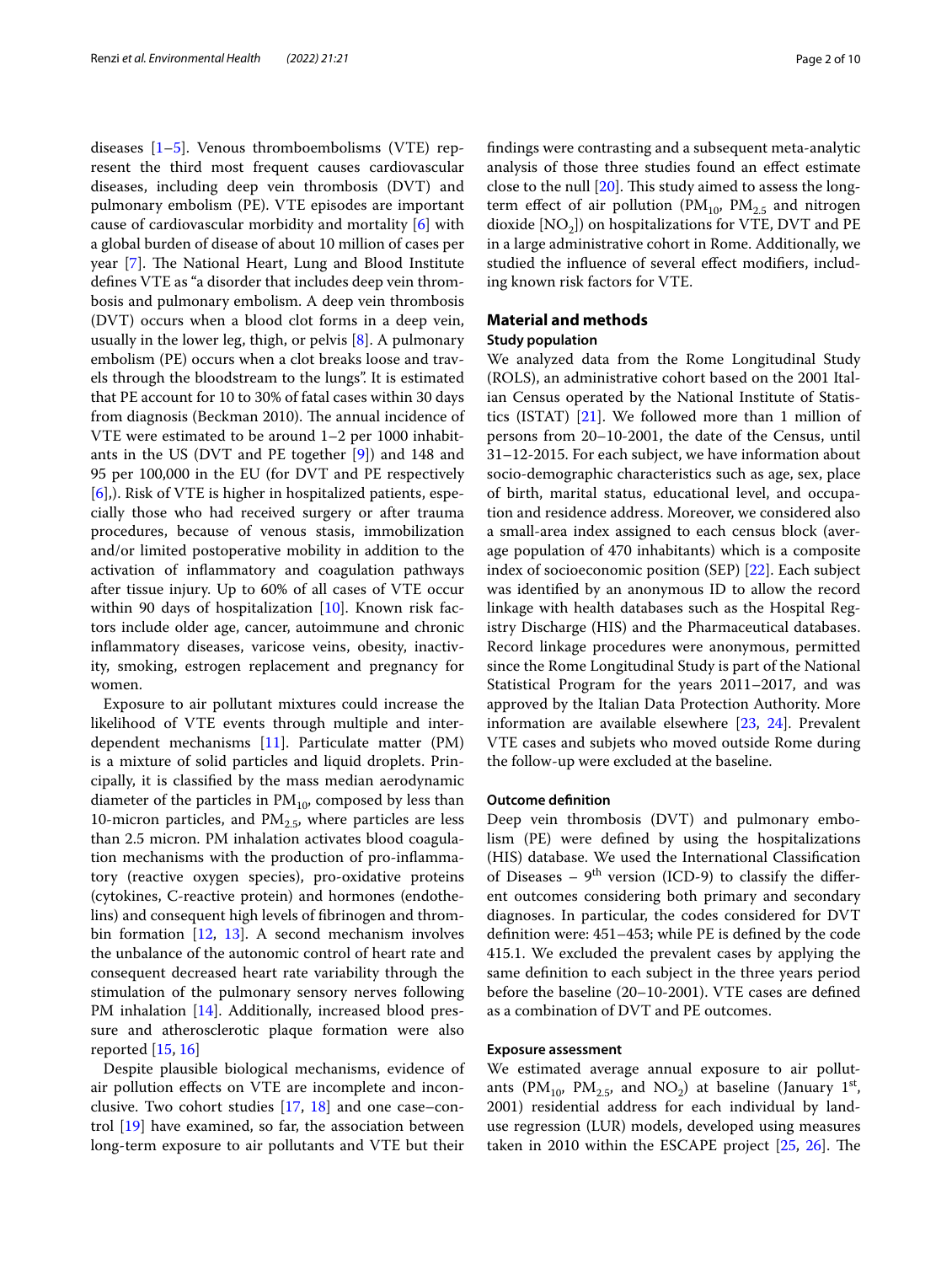diseases [[1](#page-7-0)[–5](#page-7-1)]. Venous thromboembolisms (VTE) represent the third most frequent causes cardiovascular diseases, including deep vein thrombosis (DVT) and pulmonary embolism (PE). VTE episodes are important cause of cardiovascular morbidity and mortality [\[6](#page-7-2)] with a global burden of disease of about 10 million of cases per year [\[7\]](#page-7-3). The National Heart, Lung and Blood Institute defnes VTE as "a disorder that includes deep vein thrombosis and pulmonary embolism. A deep vein thrombosis (DVT) occurs when a blood clot forms in a deep vein, usually in the lower leg, thigh, or pelvis  $[8]$  $[8]$ . A pulmonary embolism (PE) occurs when a clot breaks loose and travels through the bloodstream to the lungs". It is estimated that PE account for 10 to 30% of fatal cases within 30 days from diagnosis (Beckman 2010). The annual incidence of VTE were estimated to be around 1–2 per 1000 inhabitants in the US (DVT and PE together [\[9](#page-7-5)]) and 148 and 95 per 100,000 in the EU (for DVT and PE respectively [[6\]](#page-7-2),). Risk of VTE is higher in hospitalized patients, especially those who had received surgery or after trauma procedures, because of venous stasis, immobilization and/or limited postoperative mobility in addition to the activation of infammatory and coagulation pathways after tissue injury. Up to 60% of all cases of VTE occur within 90 days of hospitalization  $[10]$  $[10]$ . Known risk factors include older age, cancer, autoimmune and chronic infammatory diseases, varicose veins, obesity, inactivity, smoking, estrogen replacement and pregnancy for women.

Exposure to air pollutant mixtures could increase the likelihood of VTE events through multiple and interdependent mechanisms [[11\]](#page-7-7). Particulate matter (PM) is a mixture of solid particles and liquid droplets. Principally, it is classifed by the mass median aerodynamic diameter of the particles in  $PM_{10}$ , composed by less than 10-micron particles, and  $PM<sub>2.5</sub>$ , where particles are less than 2.5 micron. PM inhalation activates blood coagulation mechanisms with the production of pro-infammatory (reactive oxygen species), pro-oxidative proteins (cytokines, C-reactive protein) and hormones (endothelins) and consequent high levels of fbrinogen and thrombin formation [[12](#page-7-8), [13](#page-7-9)]. A second mechanism involves the unbalance of the autonomic control of heart rate and consequent decreased heart rate variability through the stimulation of the pulmonary sensory nerves following PM inhalation [[14\]](#page-7-10). Additionally, increased blood pressure and atherosclerotic plaque formation were also reported [[15,](#page-7-11) [16](#page-8-0)]

Despite plausible biological mechanisms, evidence of air pollution efects on VTE are incomplete and inconclusive. Two cohort studies [\[17](#page-8-1), [18](#page-8-2)] and one case–control [[19\]](#page-8-3) have examined, so far, the association between long-term exposure to air pollutants and VTE but their fndings were contrasting and a subsequent meta-analytic analysis of those three studies found an efect estimate close to the null  $[20]$  $[20]$ . This study aimed to assess the longterm effect of air pollution ( $PM_{10}$ ,  $PM_{2.5}$  and nitrogen dioxide  $[NO<sub>2</sub>]$ ) on hospitalizations for VTE, DVT and PE in a large administrative cohort in Rome. Additionally, we studied the infuence of several efect modifers, including known risk factors for VTE.

### **Material and methods**

#### **Study population**

We analyzed data from the Rome Longitudinal Study (ROLS), an administrative cohort based on the 2001 Italian Census operated by the National Institute of Statistics (ISTAT) [[21\]](#page-8-5). We followed more than 1 million of persons from 20–10-2001, the date of the Census, until 31–12-2015. For each subject, we have information about socio-demographic characteristics such as age, sex, place of birth, marital status, educational level, and occupation and residence address. Moreover, we considered also a small-area index assigned to each census block (average population of 470 inhabitants) which is a composite index of socioeconomic position (SEP) [\[22\]](#page-8-6). Each subject was identifed by an anonymous ID to allow the record linkage with health databases such as the Hospital Registry Discharge (HIS) and the Pharmaceutical databases. Record linkage procedures were anonymous, permitted since the Rome Longitudinal Study is part of the National Statistical Program for the years 2011–2017, and was approved by the Italian Data Protection Authority. More information are available elsewhere [\[23](#page-8-7), [24\]](#page-8-8). Prevalent VTE cases and subjets who moved outside Rome during the follow-up were excluded at the baseline.

#### **Outcome defnition**

Deep vein thrombosis (DVT) and pulmonary embolism (PE) were defned by using the hospitalizations (HIS) database. We used the International Classifcation of Diseases –  $9^{th}$  version (ICD-9) to classify the different outcomes considering both primary and secondary diagnoses. In particular, the codes considered for DVT defnition were: 451–453; while PE is defned by the code 415.1. We excluded the prevalent cases by applying the same defnition to each subject in the three years period before the baseline (20–10-2001). VTE cases are defned as a combination of DVT and PE outcomes.

#### **Exposure assessment**

We estimated average annual exposure to air pollutants (PM<sub>10</sub>, PM<sub>2.5</sub>, and NO<sub>2</sub>) at baseline (January 1<sup>st</sup>, 2001) residential address for each individual by landuse regression (LUR) models, developed using measures taken in 2010 within the ESCAPE project  $[25, 26]$  $[25, 26]$  $[25, 26]$  $[25, 26]$ . The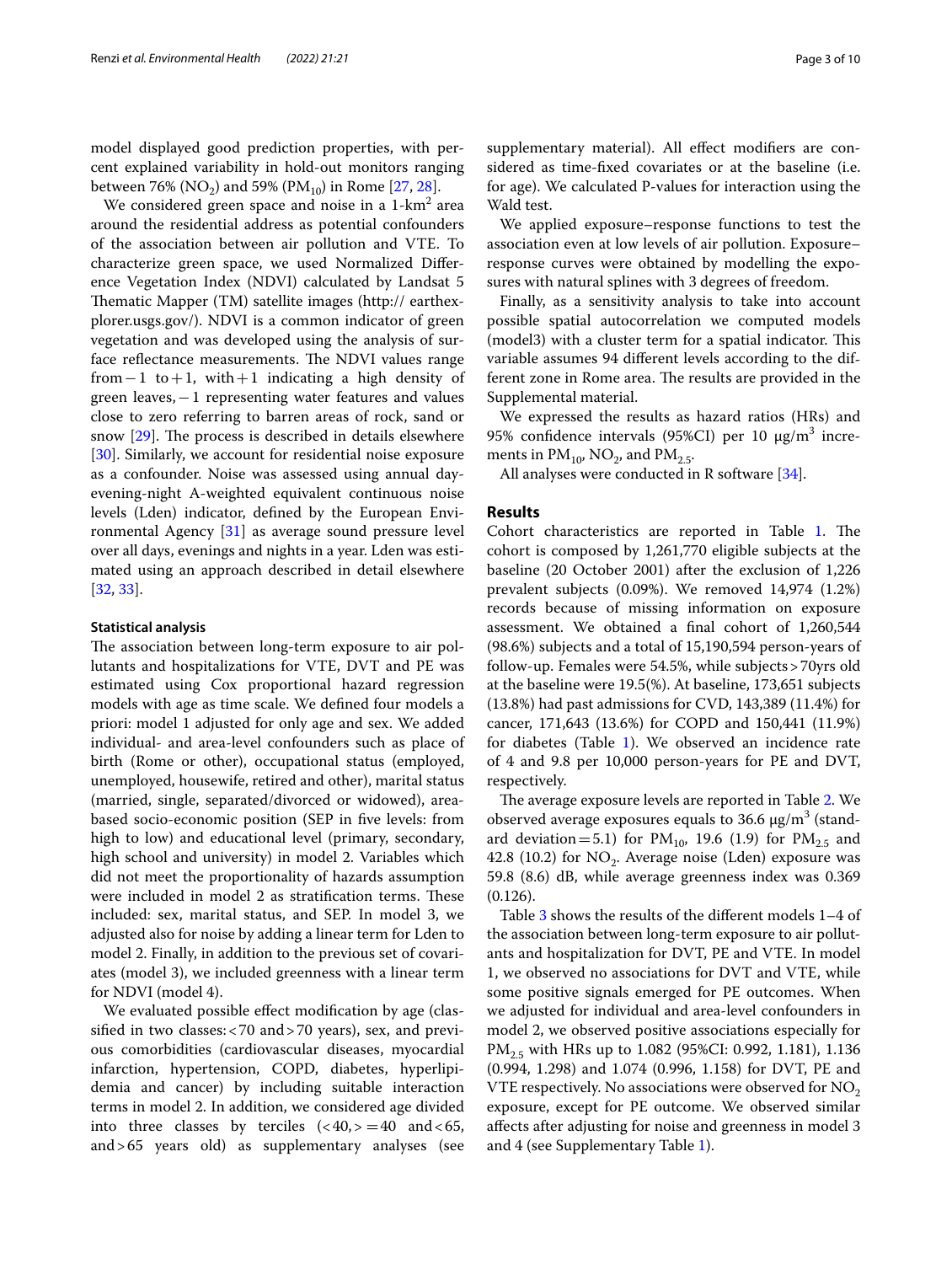model displayed good prediction properties, with percent explained variability in hold-out monitors ranging between 76% (NO<sub>2</sub>) and 59% (PM<sub>10</sub>) in Rome [\[27](#page-8-11), [28\]](#page-8-12).

We considered green space and noise in a  $1-km^2$  area around the residential address as potential confounders of the association between air pollution and VTE. To characterize green space, we used Normalized Diference Vegetation Index (NDVI) calculated by Landsat 5 Thematic Mapper (TM) satellite images (http:// earthexplorer.usgs.gov/). NDVI is a common indicator of green vegetation and was developed using the analysis of surface reflectance measurements. The NDVI values range from −1 to +1, with +1 indicating a high density of green leaves,−1 representing water features and values close to zero referring to barren areas of rock, sand or snow  $[29]$  $[29]$  $[29]$ . The process is described in details elsewhere [[30\]](#page-8-14). Similarly, we account for residential noise exposure as a confounder. Noise was assessed using annual dayevening-night A-weighted equivalent continuous noise levels (Lden) indicator, defned by the European Environmental Agency [[31\]](#page-8-15) as average sound pressure level over all days, evenings and nights in a year. Lden was estimated using an approach described in detail elsewhere [[32,](#page-8-16) [33](#page-8-17)].

#### **Statistical analysis**

The association between long-term exposure to air pollutants and hospitalizations for VTE, DVT and PE was estimated using Cox proportional hazard regression models with age as time scale. We defned four models a priori: model 1 adjusted for only age and sex. We added individual- and area-level confounders such as place of birth (Rome or other), occupational status (employed, unemployed, housewife, retired and other), marital status (married, single, separated/divorced or widowed), areabased socio-economic position (SEP in fve levels: from high to low) and educational level (primary, secondary, high school and university) in model 2. Variables which did not meet the proportionality of hazards assumption were included in model 2 as stratification terms. These included: sex, marital status, and SEP. In model 3, we adjusted also for noise by adding a linear term for Lden to model 2. Finally, in addition to the previous set of covariates (model 3), we included greenness with a linear term for NDVI (model 4).

We evaluated possible efect modifcation by age (classifed in two classes:<70 and>70 years), sex, and previous comorbidities (cardiovascular diseases, myocardial infarction, hypertension, COPD, diabetes, hyperlipidemia and cancer) by including suitable interaction terms in model 2. In addition, we considered age divided into three classes by terciles  $\left( < 40, \right> = 40$  and  $< 65,$ and>65 years old) as supplementary analyses (see

Wald test. We applied exposure–response functions to test the association even at low levels of air pollution. Exposure– response curves were obtained by modelling the exposures with natural splines with 3 degrees of freedom.

for age). We calculated P-values for interaction using the

Finally, as a sensitivity analysis to take into account possible spatial autocorrelation we computed models (model3) with a cluster term for a spatial indicator. This variable assumes 94 diferent levels according to the different zone in Rome area. The results are provided in the Supplemental material.

We expressed the results as hazard ratios (HRs) and 95% confidence intervals (95%CI) per 10  $\mu$ g/m<sup>3</sup> increments in  $PM_{10}$ , NO<sub>2</sub>, and  $PM_{2.5}$ .

All analyses were conducted in R software [[34](#page-8-18)].

#### **Results**

Cohort characteristics are reported in Table [1.](#page-3-0) The cohort is composed by 1,261,770 eligible subjects at the baseline (20 October 2001) after the exclusion of 1,226 prevalent subjects (0.09%). We removed 14,974 (1.2%) records because of missing information on exposure assessment. We obtained a fnal cohort of 1,260,544 (98.6%) subjects and a total of 15,190,594 person-years of follow-up. Females were 54.5%, while subjects>70yrs old at the baseline were 19.5(%). At baseline, 173,651 subjects (13.8%) had past admissions for CVD, 143,389 (11.4%) for cancer, 171,643 (13.6%) for COPD and 150,441 (11.9%) for diabetes (Table [1](#page-3-0)). We observed an incidence rate of 4 and 9.8 per 10,000 person-years for PE and DVT, respectively.

The average exposure levels are reported in Table [2](#page-3-1). We observed average exposures equals to  $36.6 \mu g/m^3$  (standard deviation=5.1) for  $PM_{10}$ , 19.6 (1.9) for  $PM_{2.5}$  and 42.8 (10.2) for  $NO<sub>2</sub>$ . Average noise (Lden) exposure was 59.8 (8.6) dB, while average greenness index was 0.369  $(0.126)$ .

Table [3](#page-4-0) shows the results of the diferent models 1–4 of the association between long-term exposure to air pollutants and hospitalization for DVT, PE and VTE. In model 1, we observed no associations for DVT and VTE, while some positive signals emerged for PE outcomes. When we adjusted for individual and area-level confounders in model 2, we observed positive associations especially for PM<sub>2.5</sub> with HRs up to 1.082 (95%CI: 0.992, 1.181), 1.136 (0.994, 1.298) and 1.074 (0.996, 1.158) for DVT, PE and VTE respectively. No associations were observed for  $NO<sub>2</sub>$ exposure, except for PE outcome. We observed similar afects after adjusting for noise and greenness in model 3 and 4 (see Supplementary Table [1\)](#page-6-0).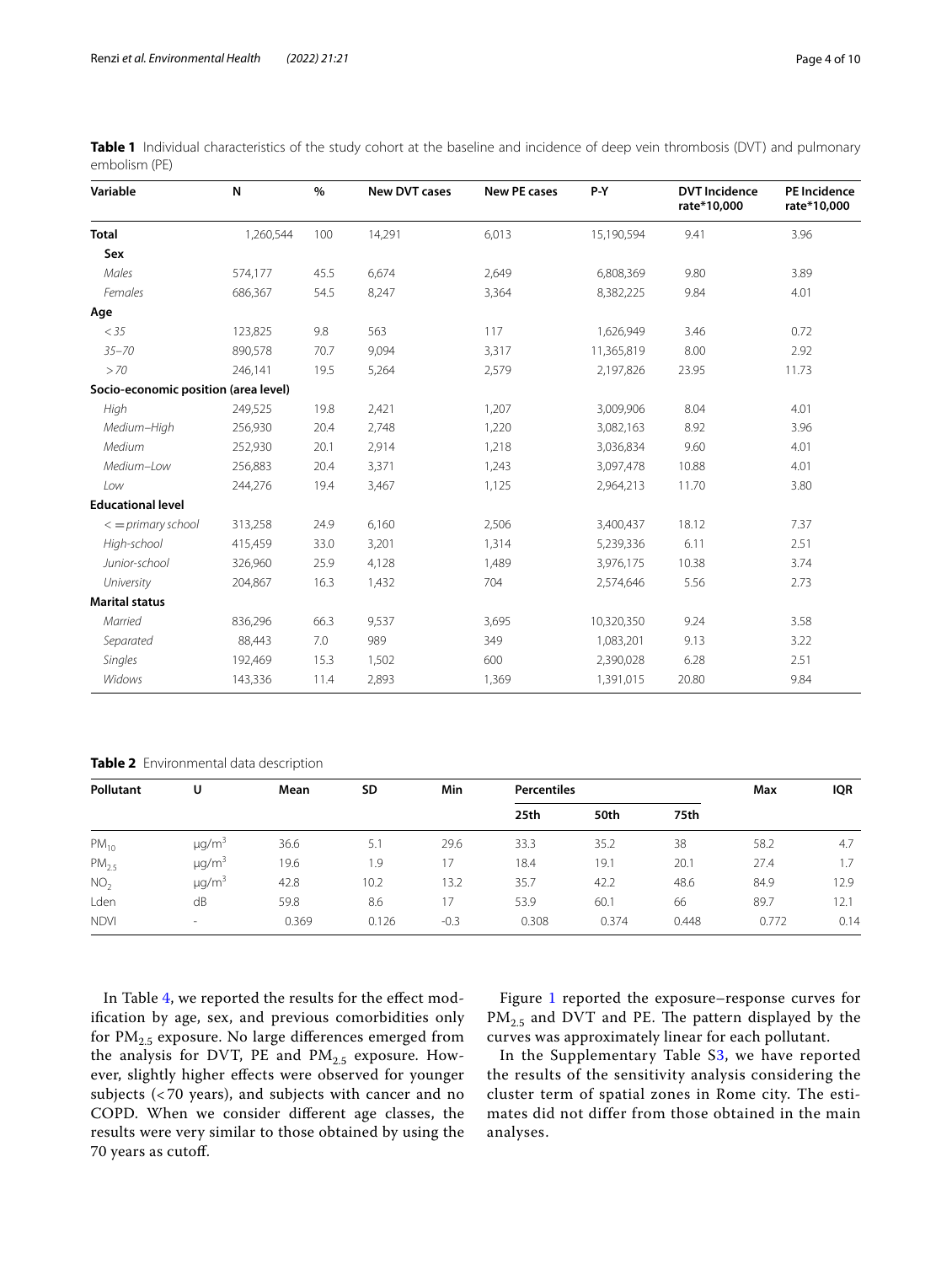| Variable                             | N         | %    | <b>New DVT cases</b> | <b>New PE cases</b> | P-Y        | <b>DVT Incidence</b><br>rate*10,000 | <b>PE Incidence</b><br>rate*10,000 |
|--------------------------------------|-----------|------|----------------------|---------------------|------------|-------------------------------------|------------------------------------|
| <b>Total</b>                         | 1,260,544 | 100  | 14,291               | 6,013               | 15,190,594 | 9.41                                | 3.96                               |
| Sex                                  |           |      |                      |                     |            |                                     |                                    |
| Males                                | 574,177   | 45.5 | 6,674                | 2,649               | 6,808,369  | 9.80                                | 3.89                               |
| Females                              | 686,367   | 54.5 | 8,247                | 3,364               | 8,382,225  | 9.84                                | 4.01                               |
| Age                                  |           |      |                      |                     |            |                                     |                                    |
| $<$ 35                               | 123,825   | 9.8  | 563                  | 117                 | 1,626,949  | 3.46                                | 0.72                               |
| $35 - 70$                            | 890,578   | 70.7 | 9,094                | 3,317               | 11,365,819 | 8.00                                | 2.92                               |
| >70                                  | 246,141   | 19.5 | 5,264                | 2,579               | 2,197,826  | 23.95                               | 11.73                              |
| Socio-economic position (area level) |           |      |                      |                     |            |                                     |                                    |
| High                                 | 249,525   | 19.8 | 2,421                | 1,207               | 3,009,906  | 8.04                                | 4.01                               |
| Medium-High                          | 256,930   | 20.4 | 2,748                | 1,220               | 3,082,163  | 8.92                                | 3.96                               |
| Medium                               | 252,930   | 20.1 | 2,914                | 1,218               | 3,036,834  | 9.60                                | 4.01                               |
| Medium-Low                           | 256,883   | 20.4 | 3,371                | 1,243               | 3,097,478  | 10.88                               | 4.01                               |
| Low                                  | 244,276   | 19.4 | 3,467                | 1,125               | 2,964,213  | 11.70                               | 3.80                               |
| <b>Educational level</b>             |           |      |                      |                     |            |                                     |                                    |
| $\leq$ = primary school              | 313,258   | 24.9 | 6,160                | 2,506               | 3,400,437  | 18.12                               | 7.37                               |
| High-school                          | 415,459   | 33.0 | 3,201                | 1,314               | 5,239,336  | 6.11                                | 2.51                               |
| Junior-school                        | 326,960   | 25.9 | 4,128                | 1,489               | 3,976,175  | 10.38                               | 3.74                               |
| University                           | 204,867   | 16.3 | 1,432                | 704                 | 2,574,646  | 5.56                                | 2.73                               |
| <b>Marital status</b>                |           |      |                      |                     |            |                                     |                                    |
| Married                              | 836,296   | 66.3 | 9,537                | 3,695               | 10,320,350 | 9.24                                | 3.58                               |
| Separated                            | 88,443    | 7.0  | 989                  | 349                 | 1,083,201  | 9.13                                | 3.22                               |
| Singles                              | 192,469   | 15.3 | 1,502                | 600                 | 2,390,028  | 6.28                                | 2.51                               |
| Widows                               | 143,336   | 11.4 | 2,893                | 1,369               | 1,391,015  | 20.80                               | 9.84                               |

<span id="page-3-0"></span>**Table 1** Individual characteristics of the study cohort at the baseline and incidence of deep vein thrombosis (DVT) and pulmonary embolism (PE)

<span id="page-3-1"></span>**Table 2** Environmental data description

| Pollutant         | U                        | Mean  | SD    | Min    | <b>Percentiles</b> |       | Max   | <b>IQR</b> |      |
|-------------------|--------------------------|-------|-------|--------|--------------------|-------|-------|------------|------|
|                   |                          |       |       |        | 25th               | 50th  | 75th  |            |      |
| $PM_{10}$         | $\mu q/m^3$              | 36.6  | 5.1   | 29.6   | 33.3               | 35.2  | 38    | 58.2       | 4.7  |
| PM <sub>2.5</sub> | $\mu$ g/m <sup>3</sup>   | 19.6  | 1.9   | 17     | 18.4               | 19.1  | 20.1  | 27.4       | 1.7  |
| NO <sub>2</sub>   | $\mu$ g/m <sup>3</sup>   | 42.8  | 10.2  | 13.2   | 35.7               | 42.2  | 48.6  | 84.9       | 12.9 |
| Lden              | dB                       | 59.8  | 8.6   |        | 53.9               | 60.1  | 66    | 89.7       | 12.1 |
| <b>NDVI</b>       | $\overline{\phantom{a}}$ | 0.369 | 0.126 | $-0.3$ | 0.308              | 0.374 | 0.448 | 0.772      | 0.14 |

In Table [4,](#page-5-0) we reported the results for the efect modifcation by age, sex, and previous comorbidities only for  $PM_{2.5}$  exposure. No large differences emerged from the analysis for DVT, PE and  $PM_{2.5}$  exposure. However, slightly higher effects were observed for younger subjects (< 70 years), and subjects with cancer and no COPD. When we consider diferent age classes, the results were very similar to those obtained by using the 70 years as cutof.

Figure [1](#page-6-1) reported the exposure–response curves for  $PM<sub>2.5</sub>$  and DVT and PE. The pattern displayed by the curves was approximately linear for each pollutant.

In the Supplementary Table [S3,](#page-6-0) we have reported the results of the sensitivity analysis considering the cluster term of spatial zones in Rome city. The estimates did not differ from those obtained in the main analyses.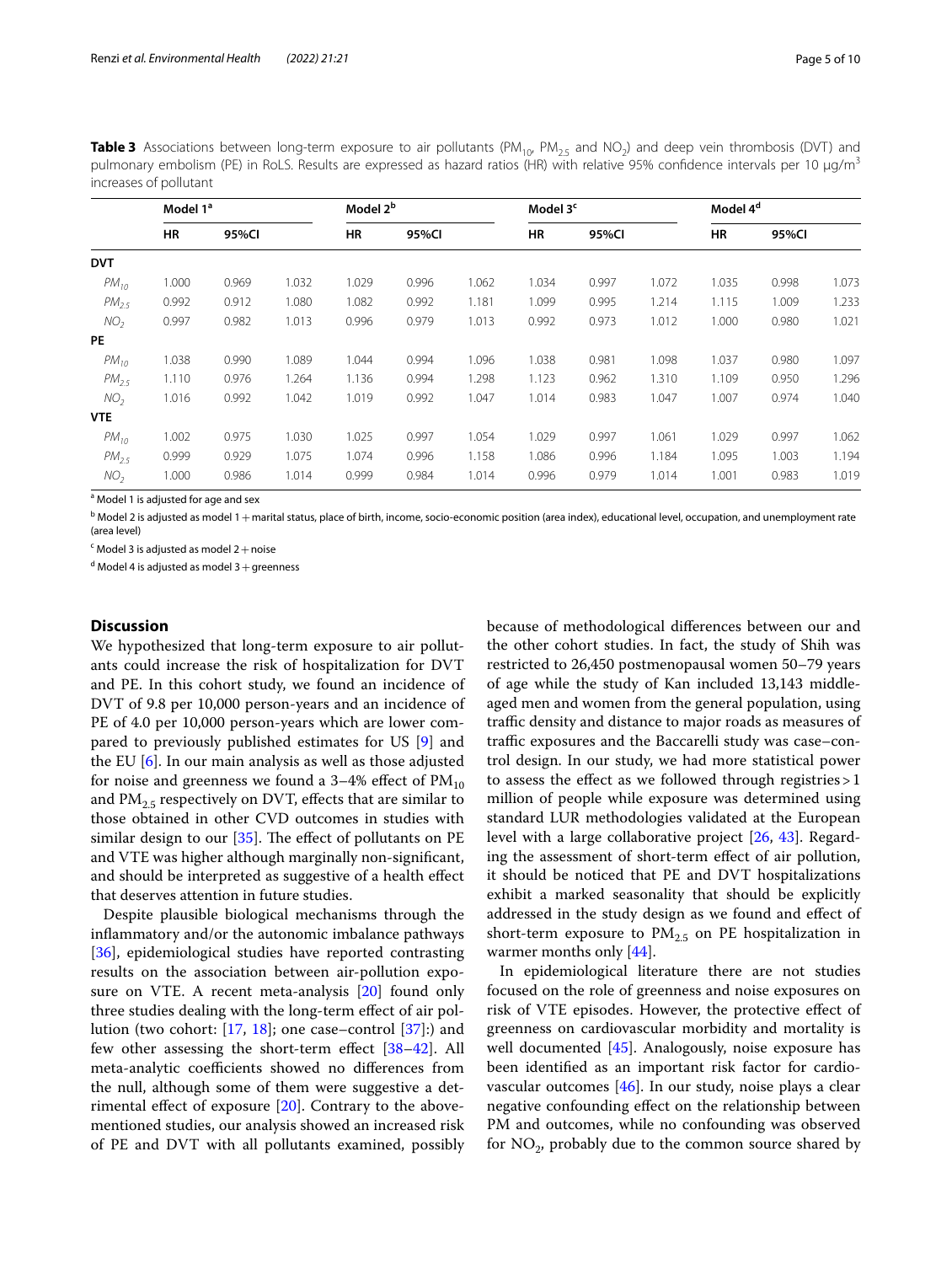<span id="page-4-0"></span>

| <b>Table 3</b> Associations between long-term exposure to air pollutants (PM <sub>10</sub> , PM <sub>25</sub> and NO <sub>2</sub> ) and deep vein thrombosis (DVT) and |  |  |  |  |  |  |  |
|------------------------------------------------------------------------------------------------------------------------------------------------------------------------|--|--|--|--|--|--|--|
| pulmonary embolism (PE) in RoLS. Results are expressed as hazard ratios (HR) with relative 95% confidence intervals per 10 µg/m <sup>3</sup>                           |  |  |  |  |  |  |  |
| increases of pollutant                                                                                                                                                 |  |  |  |  |  |  |  |

|                 |       | Model 1 <sup>a</sup> |       |       | Model 2 <sup>b</sup> |       |       | Model 3 <sup>c</sup> |       | Model 4 <sup>d</sup> |       |       |
|-----------------|-------|----------------------|-------|-------|----------------------|-------|-------|----------------------|-------|----------------------|-------|-------|
|                 | HR    | 95%CI                |       | HR    | 95%CI                |       | HR    | 95%CI                |       | HR                   | 95%Cl |       |
| <b>DVT</b>      |       |                      |       |       |                      |       |       |                      |       |                      |       |       |
| $PM_{10}$       | 1.000 | 0.969                | 1.032 | 1.029 | 0.996                | 1.062 | 1.034 | 0.997                | 1.072 | 1.035                | 0.998 | 1.073 |
| $PM_{2.5}$      | 0.992 | 0.912                | 1.080 | 1.082 | 0.992                | 1.181 | 1.099 | 0.995                | 1.214 | 1.115                | 1.009 | 1.233 |
| NO <sub>2</sub> | 0.997 | 0.982                | 1.013 | 0.996 | 0.979                | 1.013 | 0.992 | 0.973                | 1.012 | 1.000                | 0.980 | 1.021 |
| <b>PE</b>       |       |                      |       |       |                      |       |       |                      |       |                      |       |       |
| $PM_{10}$       | 1.038 | 0.990                | 1.089 | 1.044 | 0.994                | 1.096 | 1.038 | 0.981                | 1.098 | 1.037                | 0.980 | 1.097 |
| $PM_{2.5}$      | 1.110 | 0.976                | 1.264 | 1.136 | 0.994                | 1.298 | 1.123 | 0.962                | 1.310 | 1.109                | 0.950 | 1.296 |
| NO <sub>2</sub> | 1.016 | 0.992                | 1.042 | 1.019 | 0.992                | 1.047 | 1.014 | 0.983                | 1.047 | 1.007                | 0.974 | 1.040 |
| <b>VTE</b>      |       |                      |       |       |                      |       |       |                      |       |                      |       |       |
| $PM_{10}$       | 1.002 | 0.975                | 1.030 | 1.025 | 0.997                | 1.054 | 1.029 | 0.997                | 1.061 | 1.029                | 0.997 | 1.062 |
| $PM_{2.5}$      | 0.999 | 0.929                | 1.075 | 1.074 | 0.996                | 1.158 | 1.086 | 0.996                | 1.184 | 1.095                | 1.003 | 1.194 |
| NO <sub>2</sub> | 1.000 | 0.986                | 1.014 | 0.999 | 0.984                | 1.014 | 0.996 | 0.979                | 1.014 | 1.001                | 0.983 | 1.019 |

<sup>a</sup> Model 1 is adjusted for age and sex

 $^{\rm b}$  Model 2 is adjusted as model 1 + marital status, place of birth, income, socio-economic position (area index), educational level, occupation, and unemployment rate (area level)

 $\epsilon$  Model 3 is adjusted as model 2  $+$  noise

 $^{\text{d}}$  Model 4 is adjusted as model 3  $+$  greenness

## **Discussion**

We hypothesized that long-term exposure to air pollutants could increase the risk of hospitalization for DVT and PE. In this cohort study, we found an incidence of DVT of 9.8 per 10,000 person-years and an incidence of PE of 4.0 per 10,000 person-years which are lower compared to previously published estimates for US [\[9](#page-7-5)] and the EU [[6\]](#page-7-2). In our main analysis as well as those adjusted for noise and greenness we found a 3–4% effect of  $PM_{10}$ and  $PM_{2.5}$  respectively on DVT, effects that are similar to those obtained in other CVD outcomes in studies with similar design to our  $[35]$  $[35]$ . The effect of pollutants on PE and VTE was higher although marginally non-signifcant, and should be interpreted as suggestive of a health efect that deserves attention in future studies.

Despite plausible biological mechanisms through the infammatory and/or the autonomic imbalance pathways [[36\]](#page-8-20), epidemiological studies have reported contrasting results on the association between air-pollution exposure on VTE. A recent meta-analysis [\[20](#page-8-4)] found only three studies dealing with the long-term efect of air pollution (two cohort:  $[17, 18]$  $[17, 18]$  $[17, 18]$  $[17, 18]$ ; one case–control  $[37]$  $[37]$  $[37]$ :) and few other assessing the short-term efect [[38](#page-8-22)[–42](#page-8-23)]. All meta-analytic coefficients showed no differences from the null, although some of them were suggestive a detrimental effect of exposure  $[20]$  $[20]$ . Contrary to the abovementioned studies, our analysis showed an increased risk of PE and DVT with all pollutants examined, possibly because of methodological diferences between our and the other cohort studies. In fact, the study of Shih was restricted to 26,450 postmenopausal women 50–79 years of age while the study of Kan included 13,143 middleaged men and women from the general population, using traffic density and distance to major roads as measures of traffic exposures and the Baccarelli study was case-control design. In our study, we had more statistical power to assess the effect as we followed through registries  $>1$ million of people while exposure was determined using standard LUR methodologies validated at the European level with a large collaborative project [[26,](#page-8-10) [43](#page-8-24)]. Regarding the assessment of short-term efect of air pollution, it should be noticed that PE and DVT hospitalizations exhibit a marked seasonality that should be explicitly addressed in the study design as we found and efect of short-term exposure to  $PM_{2.5}$  on PE hospitalization in warmer months only [\[44](#page-8-25)].

In epidemiological literature there are not studies focused on the role of greenness and noise exposures on risk of VTE episodes. However, the protective efect of greenness on cardiovascular morbidity and mortality is well documented [\[45](#page-8-26)]. Analogously, noise exposure has been identifed as an important risk factor for cardiovascular outcomes [[46\]](#page-9-0). In our study, noise plays a clear negative confounding efect on the relationship between PM and outcomes, while no confounding was observed for  $NO<sub>2</sub>$ , probably due to the common source shared by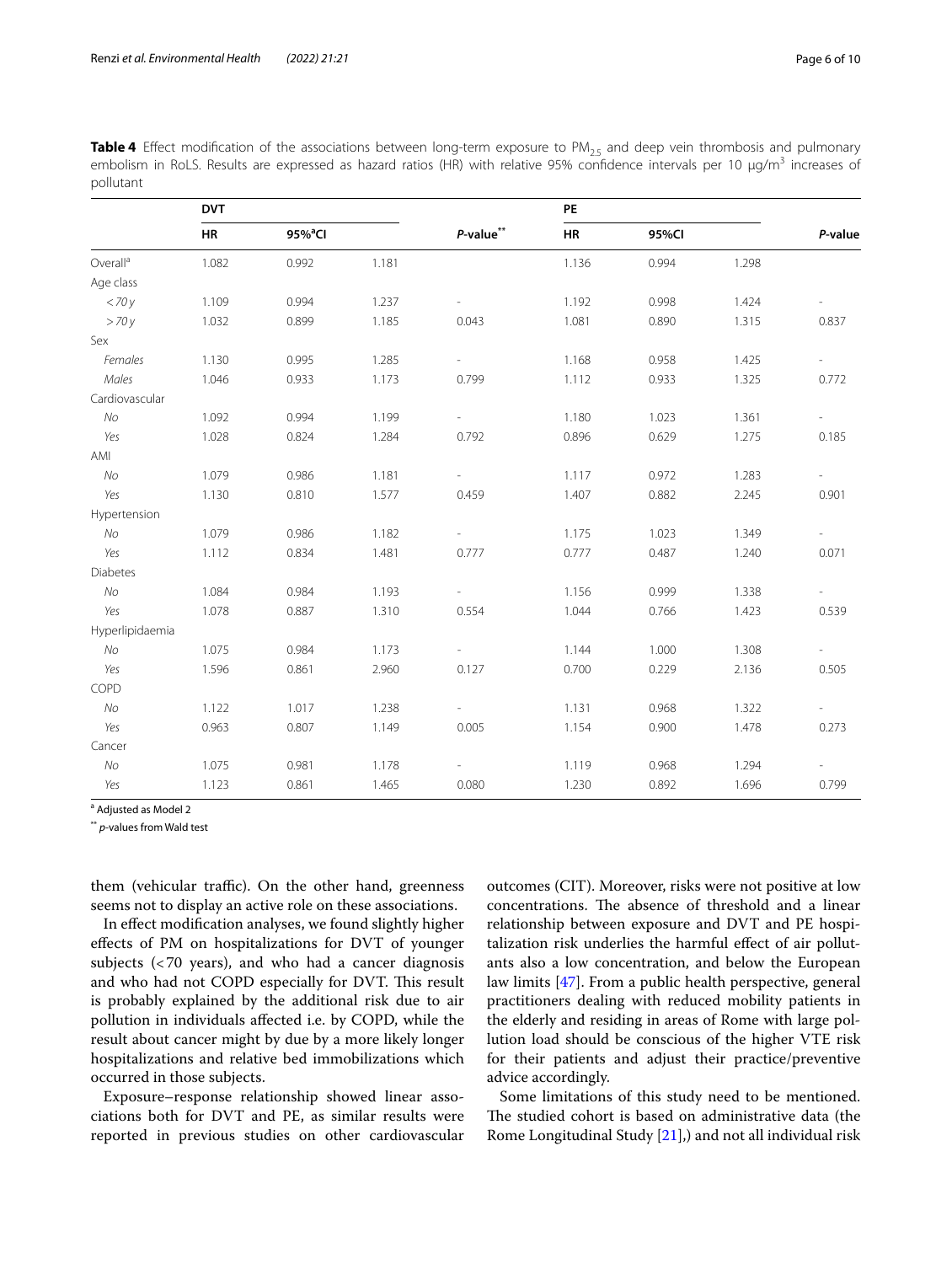|                      | <b>DVT</b> |                     |       |           | PE        |       |       |         |  |  |
|----------------------|------------|---------------------|-------|-----------|-----------|-------|-------|---------|--|--|
|                      | <b>HR</b>  | 95% <sup>a</sup> Cl |       | P-value** | <b>HR</b> | 95%CI |       | P-value |  |  |
| Overall <sup>a</sup> | 1.082      | 0.992               | 1.181 |           | 1.136     | 0.994 | 1.298 |         |  |  |
| Age class            |            |                     |       |           |           |       |       |         |  |  |
| < 70y                | 1.109      | 0.994               | 1.237 |           | 1.192     | 0.998 | 1.424 |         |  |  |
| >70v                 | 1.032      | 0.899               | 1.185 | 0.043     | 1.081     | 0.890 | 1.315 | 0.837   |  |  |
| Sex                  |            |                     |       |           |           |       |       |         |  |  |
| Females              | 1.130      | 0.995               | 1.285 |           | 1.168     | 0.958 | 1.425 |         |  |  |
| Males                | 1.046      | 0.933               | 1.173 | 0.799     | 1.112     | 0.933 | 1.325 | 0.772   |  |  |
| Cardiovascular       |            |                     |       |           |           |       |       |         |  |  |
| No                   | 1.092      | 0.994               | 1.199 |           | 1.180     | 1.023 | 1.361 |         |  |  |
| Yes                  | 1.028      | 0.824               | 1.284 | 0.792     | 0.896     | 0.629 | 1.275 | 0.185   |  |  |
| AMI                  |            |                     |       |           |           |       |       |         |  |  |
| No                   | 1.079      | 0.986               | 1.181 |           | 1.117     | 0.972 | 1.283 |         |  |  |
| Yes                  | 1.130      | 0.810               | 1.577 | 0.459     | 1.407     | 0.882 | 2.245 | 0.901   |  |  |
| Hypertension         |            |                     |       |           |           |       |       |         |  |  |
| No                   | 1.079      | 0.986               | 1.182 |           | 1.175     | 1.023 | 1.349 |         |  |  |
| Yes                  | 1.112      | 0.834               | 1.481 | 0.777     | 0.777     | 0.487 | 1.240 | 0.071   |  |  |
| <b>Diabetes</b>      |            |                     |       |           |           |       |       |         |  |  |
| No                   | 1.084      | 0.984               | 1.193 |           | 1.156     | 0.999 | 1.338 |         |  |  |
| Yes                  | 1.078      | 0.887               | 1.310 | 0.554     | 1.044     | 0.766 | 1.423 | 0.539   |  |  |
| Hyperlipidaemia      |            |                     |       |           |           |       |       |         |  |  |
| No                   | 1.075      | 0.984               | 1.173 |           | 1.144     | 1.000 | 1.308 |         |  |  |
| Yes                  | 1.596      | 0.861               | 2.960 | 0.127     | 0.700     | 0.229 | 2.136 | 0.505   |  |  |
| COPD                 |            |                     |       |           |           |       |       |         |  |  |
| N <sub>O</sub>       | 1.122      | 1.017               | 1.238 |           | 1.131     | 0.968 | 1.322 |         |  |  |
| Yes                  | 0.963      | 0.807               | 1.149 | 0.005     | 1.154     | 0.900 | 1.478 | 0.273   |  |  |
| Cancer               |            |                     |       |           |           |       |       |         |  |  |
| N <sub>O</sub>       | 1.075      | 0.981               | 1.178 |           | 1.119     | 0.968 | 1.294 |         |  |  |
| Yes                  | 1.123      | 0.861               | 1.465 | 0.080     | 1.230     | 0.892 | 1.696 | 0.799   |  |  |

<span id="page-5-0"></span>Table 4 Effect modification of the associations between long-term exposure to PM<sub>2.5</sub> and deep vein thrombosis and pulmonary embolism in RoLS. Results are expressed as hazard ratios (HR) with relative 95% confidence intervals per 10 µg/m<sup>3</sup> increases of pollutant

<sup>a</sup> Adjusted as Model 2

\*\* *p*-values from Wald test

them (vehicular traffic). On the other hand, greenness seems not to display an active role on these associations.

In efect modifcation analyses, we found slightly higher efects of PM on hospitalizations for DVT of younger subjects (<70 years), and who had a cancer diagnosis and who had not COPD especially for DVT. This result is probably explained by the additional risk due to air pollution in individuals afected i.e. by COPD, while the result about cancer might by due by a more likely longer hospitalizations and relative bed immobilizations which occurred in those subjects.

Exposure–response relationship showed linear associations both for DVT and PE, as similar results were reported in previous studies on other cardiovascular outcomes (CIT). Moreover, risks were not positive at low concentrations. The absence of threshold and a linear relationship between exposure and DVT and PE hospitalization risk underlies the harmful efect of air pollutants also a low concentration, and below the European law limits [[47](#page-9-1)]. From a public health perspective, general practitioners dealing with reduced mobility patients in the elderly and residing in areas of Rome with large pollution load should be conscious of the higher VTE risk for their patients and adjust their practice/preventive advice accordingly.

Some limitations of this study need to be mentioned. The studied cohort is based on administrative data (the Rome Longitudinal Study [\[21](#page-8-5)],) and not all individual risk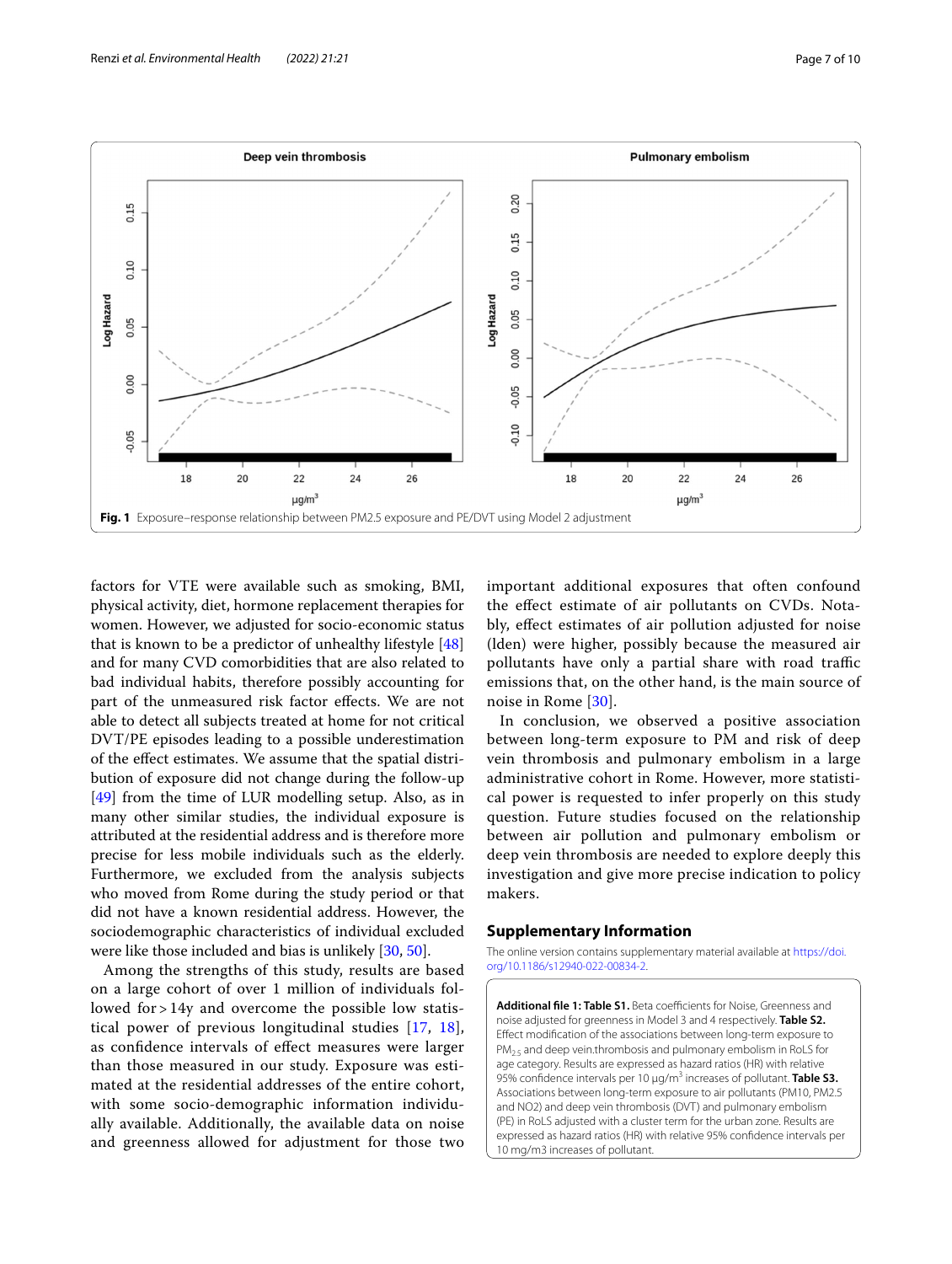

<span id="page-6-1"></span>factors for VTE were available such as smoking, BMI, physical activity, diet, hormone replacement therapies for women. However, we adjusted for socio-economic status that is known to be a predictor of unhealthy lifestyle [[48](#page-9-2)] and for many CVD comorbidities that are also related to bad individual habits, therefore possibly accounting for part of the unmeasured risk factor efects. We are not able to detect all subjects treated at home for not critical DVT/PE episodes leading to a possible underestimation of the efect estimates. We assume that the spatial distribution of exposure did not change during the follow-up [[49\]](#page-9-3) from the time of LUR modelling setup. Also, as in many other similar studies, the individual exposure is attributed at the residential address and is therefore more precise for less mobile individuals such as the elderly. Furthermore, we excluded from the analysis subjects who moved from Rome during the study period or that did not have a known residential address. However, the sociodemographic characteristics of individual excluded were like those included and bias is unlikely [\[30,](#page-8-14) [50](#page-9-4)].

Among the strengths of this study, results are based on a large cohort of over 1 million of individuals followed for > 14y and overcome the possible low statistical power of previous longitudinal studies [[17,](#page-8-1) [18\]](#page-8-2), as confdence intervals of efect measures were larger than those measured in our study. Exposure was estimated at the residential addresses of the entire cohort, with some socio-demographic information individually available. Additionally, the available data on noise and greenness allowed for adjustment for those two important additional exposures that often confound the efect estimate of air pollutants on CVDs. Notably, efect estimates of air pollution adjusted for noise (lden) were higher, possibly because the measured air pollutants have only a partial share with road traffic emissions that, on the other hand, is the main source of noise in Rome [\[30\]](#page-8-14).

In conclusion, we observed a positive association between long-term exposure to PM and risk of deep vein thrombosis and pulmonary embolism in a large administrative cohort in Rome. However, more statistical power is requested to infer properly on this study question. Future studies focused on the relationship between air pollution and pulmonary embolism or deep vein thrombosis are needed to explore deeply this investigation and give more precise indication to policy makers.

## **Supplementary Information**

The online version contains supplementary material available at [https://doi.](https://doi.org/10.1186/s12940-022-00834-2) [org/10.1186/s12940-022-00834-2](https://doi.org/10.1186/s12940-022-00834-2).

<span id="page-6-0"></span>Additional file 1: Table S1. Beta coefficients for Noise, Greenness and noise adjusted for greenness in Model 3 and 4 respectively. **Table S2.** Efect modifcation of the associations between long-term exposure to PM<sub>2.5</sub> and deep vein.thrombosis and pulmonary embolism in RoLS for age category. Results are expressed as hazard ratios (HR) with relative 95% confidence intervals per 10 µg/m<sup>3</sup> increases of pollutant. Table S3. Associations between long-term exposure to air pollutants (PM10, PM2.5 and NO2) and deep vein thrombosis (DVT) and pulmonary embolism (PE) in RoLS adjusted with a cluster term for the urban zone. Results are expressed as hazard ratios (HR) with relative 95% confdence intervals per 10 mg/m3 increases of pollutant.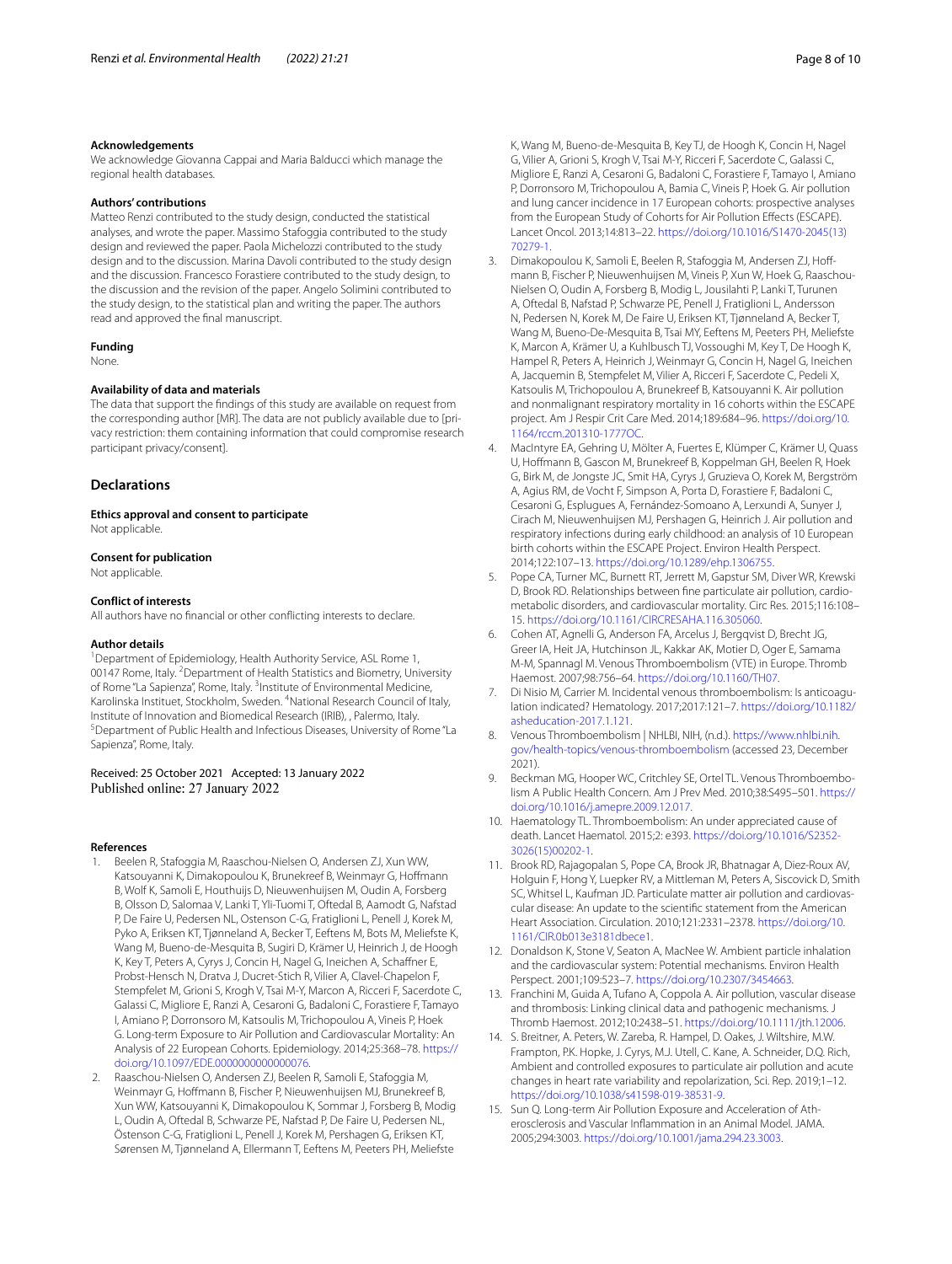#### **Acknowledgements**

We acknowledge Giovanna Cappai and Maria Balducci which manage the regional health databases.

#### **Authors' contributions**

Matteo Renzi contributed to the study design, conducted the statistical analyses, and wrote the paper. Massimo Stafoggia contributed to the study design and reviewed the paper. Paola Michelozzi contributed to the study design and to the discussion. Marina Davoli contributed to the study design and the discussion. Francesco Forastiere contributed to the study design, to the discussion and the revision of the paper. Angelo Solimini contributed to the study design, to the statistical plan and writing the paper. The authors read and approved the fnal manuscript.

#### **Funding**

None.

#### **Availability of data and materials**

The data that support the fndings of this study are available on request from the corresponding author [MR]. The data are not publicly available due to [privacy restriction: them containing information that could compromise research participant privacy/consent].

#### **Declarations**

**Ethics approval and consent to participate** Not applicable.

#### **Consent for publication**

Not applicable.

#### **Conflict of interests**

All authors have no fnancial or other conficting interests to declare.

#### **Author details**

<sup>1</sup> Department of Epidemiology, Health Authority Service, ASL Rome 1, 00147 Rome, Italy. <sup>2</sup> Department of Health Statistics and Biometry, University of Rome "La Sapienza", Rome, Italy. <sup>3</sup>Institute of Environmental Medicine, Karolinska Instituet, Stockholm, Sweden. <sup>4</sup>National Research Council of Italy, Institute of Innovation and Biomedical Research (IRIB), , Palermo, Italy. 5 Department of Public Health and Infectious Diseases, University of Rome "La Sapienza", Rome, Italy.

#### Received: 25 October 2021 Accepted: 13 January 2022 Published online: 27 January 2022

#### **References**

- <span id="page-7-0"></span>1. Beelen R, Stafoggia M, Raaschou-Nielsen O, Andersen ZJ, Xun WW, Katsouyanni K, Dimakopoulou K, Brunekreef B, Weinmayr G, Hofmann B, Wolf K, Samoli E, Houthuijs D, Nieuwenhuijsen M, Oudin A, Forsberg B, Olsson D, Salomaa V, Lanki T, Yli-Tuomi T, Oftedal B, Aamodt G, Nafstad P, De Faire U, Pedersen NL, Ostenson C-G, Fratiglioni L, Penell J, Korek M, Pyko A, Eriksen KT, Tjønneland A, Becker T, Eeftens M, Bots M, Meliefste K, Wang M, Bueno-de-Mesquita B, Sugiri D, Krämer U, Heinrich J, de Hoogh K, Key T, Peters A, Cyrys J, Concin H, Nagel G, Ineichen A, Schafner E, Probst-Hensch N, Dratva J, Ducret-Stich R, Vilier A, Clavel-Chapelon F, Stempfelet M, Grioni S, Krogh V, Tsai M-Y, Marcon A, Ricceri F, Sacerdote C, Galassi C, Migliore E, Ranzi A, Cesaroni G, Badaloni C, Forastiere F, Tamayo I, Amiano P, Dorronsoro M, Katsoulis M, Trichopoulou A, Vineis P, Hoek G. Long-term Exposure to Air Pollution and Cardiovascular Mortality: An Analysis of 22 European Cohorts. Epidemiology. 2014;25:368–78. [https://](https://doi.org/10.1097/EDE.0000000000000076) [doi.org/10.1097/EDE.0000000000000076](https://doi.org/10.1097/EDE.0000000000000076).
- 2. Raaschou-Nielsen O, Andersen ZJ, Beelen R, Samoli E, Stafoggia M, Weinmayr G, Hofmann B, Fischer P, Nieuwenhuijsen MJ, Brunekreef B, Xun WW, Katsouyanni K, Dimakopoulou K, Sommar J, Forsberg B, Modig L, Oudin A, Oftedal B, Schwarze PE, Nafstad P, De Faire U, Pedersen NL, Östenson C-G, Fratiglioni L, Penell J, Korek M, Pershagen G, Eriksen KT, Sørensen M, Tjønneland A, Ellermann T, Eeftens M, Peeters PH, Meliefste

K, Wang M, Bueno-de-Mesquita B, Key TJ, de Hoogh K, Concin H, Nagel G, Vilier A, Grioni S, Krogh V, Tsai M-Y, Ricceri F, Sacerdote C, Galassi C, Migliore E, Ranzi A, Cesaroni G, Badaloni C, Forastiere F, Tamayo I, Amiano P, Dorronsoro M, Trichopoulou A, Bamia C, Vineis P, Hoek G. Air pollution and lung cancer incidence in 17 European cohorts: prospective analyses from the European Study of Cohorts for Air Pollution Effects (ESCAPE). Lancet Oncol. 2013;14:813–22. [https://doi.org/10.1016/S1470-2045\(13\)](https://doi.org/10.1016/S1470-2045(13)70279-1) [70279-1.](https://doi.org/10.1016/S1470-2045(13)70279-1)

- Dimakopoulou K, Samoli E, Beelen R, Stafoggia M, Andersen ZJ, Hoffmann B, Fischer P, Nieuwenhuijsen M, Vineis P, Xun W, Hoek G, Raaschou-Nielsen O, Oudin A, Forsberg B, Modig L, Jousilahti P, Lanki T, Turunen A, Oftedal B, Nafstad P, Schwarze PE, Penell J, Fratiglioni L, Andersson N, Pedersen N, Korek M, De Faire U, Eriksen KT, Tjønneland A, Becker T, Wang M, Bueno-De-Mesquita B, Tsai MY, Eeftens M, Peeters PH, Meliefste K, Marcon A, Krämer U, a Kuhlbusch TJ, Vossoughi M, Key T, De Hoogh K, Hampel R, Peters A, Heinrich J, Weinmayr G, Concin H, Nagel G, Ineichen A, Jacquemin B, Stempfelet M, Vilier A, Ricceri F, Sacerdote C, Pedeli X, Katsoulis M, Trichopoulou A, Brunekreef B, Katsouyanni K. Air pollution and nonmalignant respiratory mortality in 16 cohorts within the ESCAPE project. Am J Respir Crit Care Med. 2014;189:684–96. [https://doi.org/10.](https://doi.org/10.1164/rccm.201310-1777OC) [1164/rccm.201310-1777OC](https://doi.org/10.1164/rccm.201310-1777OC).
- 4. MacIntyre EA, Gehring U, Mölter A, Fuertes E, Klümper C, Krämer U, Quass U, Hofmann B, Gascon M, Brunekreef B, Koppelman GH, Beelen R, Hoek G, Birk M, de Jongste JC, Smit HA, Cyrys J, Gruzieva O, Korek M, Bergström A, Agius RM, de Vocht F, Simpson A, Porta D, Forastiere F, Badaloni C, Cesaroni G, Esplugues A, Fernández-Somoano A, Lerxundi A, Sunyer J, Cirach M, Nieuwenhuijsen MJ, Pershagen G, Heinrich J. Air pollution and respiratory infections during early childhood: an analysis of 10 European birth cohorts within the ESCAPE Project. Environ Health Perspect. 2014;122:107–13. <https://doi.org/10.1289/ehp.1306755>.
- <span id="page-7-1"></span>5. Pope CA, Turner MC, Burnett RT, Jerrett M, Gapstur SM, Diver WR, Krewski D, Brook RD. Relationships between fne particulate air pollution, cardiometabolic disorders, and cardiovascular mortality. Circ Res. 2015;116:108– 15. [https://doi.org/10.1161/CIRCRESAHA.116.305060.](https://doi.org/10.1161/CIRCRESAHA.116.305060)
- <span id="page-7-2"></span>6. Cohen AT, Agnelli G, Anderson FA, Arcelus J, Bergqvist D, Brecht JG, Greer IA, Heit JA, Hutchinson JL, Kakkar AK, Motier D, Oger E, Samama M-M, Spannagl M. Venous Thromboembolism (VTE) in Europe. Thromb Haemost. 2007;98:756–64. [https://doi.org/10.1160/TH07.](https://doi.org/10.1160/TH07)
- <span id="page-7-3"></span>7. Di Nisio M, Carrier M. Incidental venous thromboembolism: Is anticoagulation indicated? Hematology. 2017;2017:121–7. [https://doi.org/10.1182/](https://doi.org/10.1182/asheducation-2017.1.121) [asheducation-2017.1.121](https://doi.org/10.1182/asheducation-2017.1.121).
- <span id="page-7-4"></span>8. Venous Thromboembolism | NHLBI, NIH, (n.d.). [https://www.nhlbi.nih.](https://www.nhlbi.nih.gov/health-topics/venous-thromboembolism) [gov/health-topics/venous-thromboembolism](https://www.nhlbi.nih.gov/health-topics/venous-thromboembolism) (accessed 23, December 2021).
- <span id="page-7-5"></span>9. Beckman MG, Hooper WC, Critchley SE, Ortel TL. Venous Thromboembolism A Public Health Concern. Am J Prev Med. 2010;38:S495–501. [https://](https://doi.org/10.1016/j.amepre.2009.12.017) [doi.org/10.1016/j.amepre.2009.12.017](https://doi.org/10.1016/j.amepre.2009.12.017).
- <span id="page-7-6"></span>10. Haematology TL. Thromboembolism: An under appreciated cause of death. Lancet Haematol. 2015;2: e393. [https://doi.org/10.1016/S2352-](https://doi.org/10.1016/S2352-3026(15)00202-1) [3026\(15\)00202-1.](https://doi.org/10.1016/S2352-3026(15)00202-1)
- <span id="page-7-7"></span>11. Brook RD, Rajagopalan S, Pope CA, Brook JR, Bhatnagar A, Diez-Roux AV, Holguin F, Hong Y, Luepker RV, a Mittleman M, Peters A, Siscovick D, Smith SC, Whitsel L, Kaufman JD. Particulate matter air pollution and cardiovascular disease: An update to the scientifc statement from the American Heart Association. Circulation. 2010;121:2331–2378. [https://doi.org/10.](https://doi.org/10.1161/CIR.0b013e3181dbece1) [1161/CIR.0b013e3181dbece1.](https://doi.org/10.1161/CIR.0b013e3181dbece1)
- <span id="page-7-8"></span>12. Donaldson K, Stone V, Seaton A, MacNee W. Ambient particle inhalation and the cardiovascular system: Potential mechanisms. Environ Health Perspect. 2001;109:523–7. <https://doi.org/10.2307/3454663>.
- <span id="page-7-9"></span>13. Franchini M, Guida A, Tufano A, Coppola A. Air pollution, vascular disease and thrombosis: Linking clinical data and pathogenic mechanisms. J Thromb Haemost. 2012;10:2438–51. [https://doi.org/10.1111/jth.12006.](https://doi.org/10.1111/jth.12006)
- <span id="page-7-10"></span>14. S. Breitner, A. Peters, W. Zareba, R. Hampel, D. Oakes, J. Wiltshire, M.W. Frampton, P.K. Hopke, J. Cyrys, M.J. Utell, C. Kane, A. Schneider, D.Q. Rich, Ambient and controlled exposures to particulate air pollution and acute changes in heart rate variability and repolarization, Sci. Rep. 2019;1–12. <https://doi.org/10.1038/s41598-019-38531-9>.
- <span id="page-7-11"></span>15. Sun Q. Long-term Air Pollution Exposure and Acceleration of Atherosclerosis and Vascular Infammation in an Animal Model. JAMA. 2005;294:3003. [https://doi.org/10.1001/jama.294.23.3003.](https://doi.org/10.1001/jama.294.23.3003)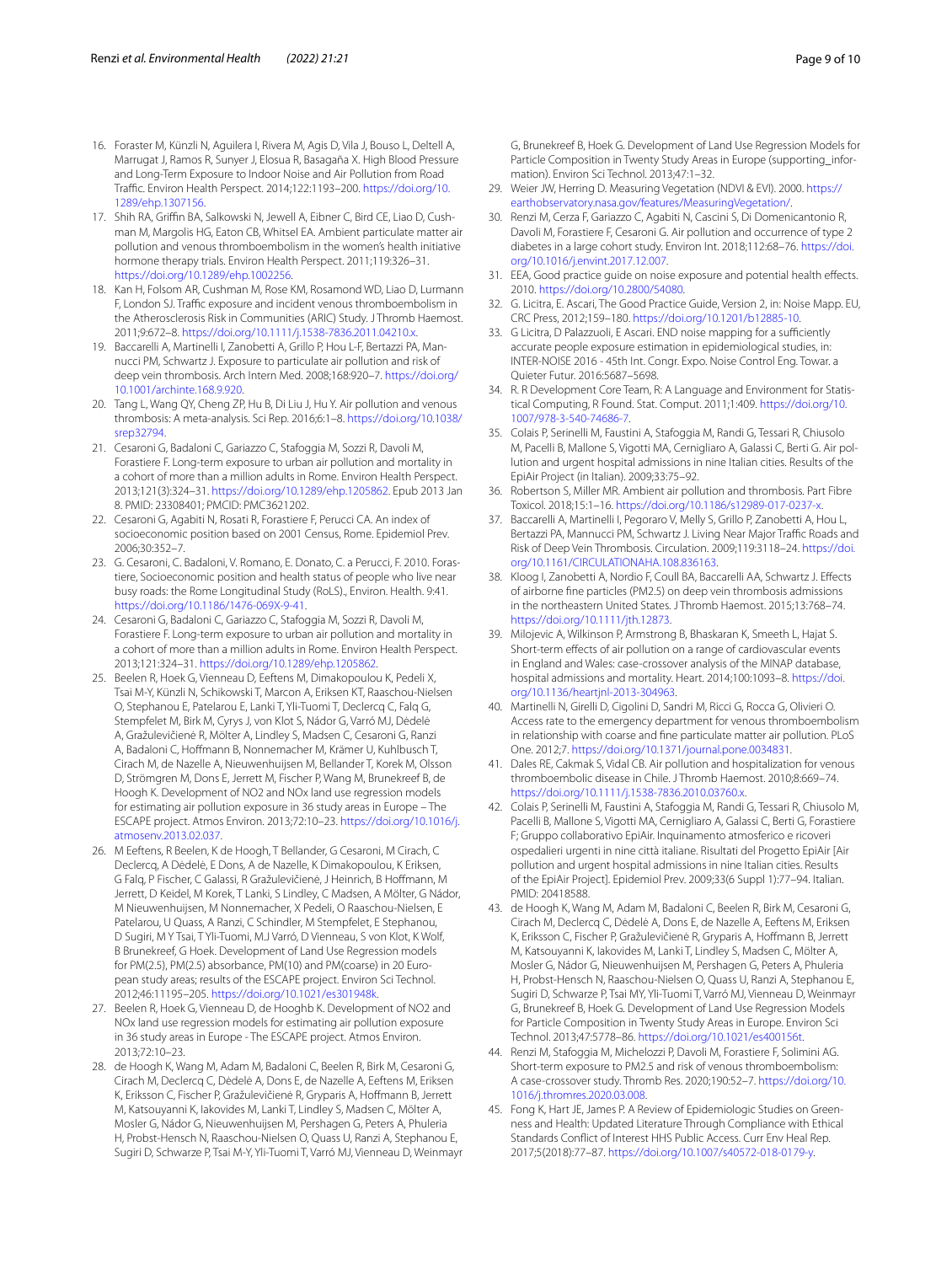- <span id="page-8-0"></span>16. Foraster M, Künzli N, Aguilera I, Rivera M, Agis D, Vila J, Bouso L, Deltell A, Marrugat J, Ramos R, Sunyer J, Elosua R, Basagaña X. High Blood Pressure and Long-Term Exposure to Indoor Noise and Air Pollution from Road Traffic. Environ Health Perspect. 2014;122:1193-200. [https://doi.org/10.](https://doi.org/10.1289/ehp.1307156) [1289/ehp.1307156.](https://doi.org/10.1289/ehp.1307156)
- <span id="page-8-1"></span>17. Shih RA, Griffin BA, Salkowski N, Jewell A, Eibner C, Bird CE, Liao D, Cushman M, Margolis HG, Eaton CB, Whitsel EA. Ambient particulate matter air pollution and venous thromboembolism in the women's health initiative hormone therapy trials. Environ Health Perspect. 2011;119:326–31. <https://doi.org/10.1289/ehp.1002256>.
- <span id="page-8-2"></span>18. Kan H, Folsom AR, Cushman M, Rose KM, Rosamond WD, Liao D, Lurmann F, London SJ. Traffic exposure and incident venous thromboembolism in the Atherosclerosis Risk in Communities (ARIC) Study. J Thromb Haemost. 2011;9:672–8. <https://doi.org/10.1111/j.1538-7836.2011.04210.x>.
- <span id="page-8-3"></span>19. Baccarelli A, Martinelli I, Zanobetti A, Grillo P, Hou L-F, Bertazzi PA, Mannucci PM, Schwartz J. Exposure to particulate air pollution and risk of deep vein thrombosis. Arch Intern Med. 2008;168:920–7. [https://doi.org/](https://doi.org/10.1001/archinte.168.9.920) [10.1001/archinte.168.9.920](https://doi.org/10.1001/archinte.168.9.920).
- <span id="page-8-4"></span>20. Tang L, Wang QY, Cheng ZP, Hu B, Di Liu J, Hu Y. Air pollution and venous thrombosis: A meta-analysis. Sci Rep. 2016;6:1–8. [https://doi.org/10.1038/](https://doi.org/10.1038/srep32794) [srep32794.](https://doi.org/10.1038/srep32794)
- <span id="page-8-5"></span>21. Cesaroni G, Badaloni C, Gariazzo C, Stafoggia M, Sozzi R, Davoli M, Forastiere F. Long-term exposure to urban air pollution and mortality in a cohort of more than a million adults in Rome. Environ Health Perspect. 2013;121(3):324–31. [https://doi.org/10.1289/ehp.1205862.](https://doi.org/10.1289/ehp.1205862) Epub 2013 Jan 8. PMID: 23308401; PMCID: PMC3621202.
- <span id="page-8-6"></span>22. Cesaroni G, Agabiti N, Rosati R, Forastiere F, Perucci CA. An index of socioeconomic position based on 2001 Census, Rome. Epidemiol Prev. 2006;30:352–7.
- <span id="page-8-7"></span>23. G. Cesaroni, C. Badaloni, V. Romano, E. Donato, C. a Perucci, F. 2010. Forastiere, Socioeconomic position and health status of people who live near busy roads: the Rome Longitudinal Study (RoLS)., Environ. Health. 9:41. [https://doi.org/10.1186/1476-069X-9-41.](https://doi.org/10.1186/1476-069X-9-41)
- <span id="page-8-8"></span>24. Cesaroni G, Badaloni C, Gariazzo C, Stafoggia M, Sozzi R, Davoli M, Forastiere F. Long-term exposure to urban air pollution and mortality in a cohort of more than a million adults in Rome. Environ Health Perspect. 2013;121:324–31. <https://doi.org/10.1289/ehp.1205862>.
- <span id="page-8-9"></span>25. Beelen R, Hoek G, Vienneau D, Eeftens M, Dimakopoulou K, Pedeli X, Tsai M-Y, Künzli N, Schikowski T, Marcon A, Eriksen KT, Raaschou-Nielsen O, Stephanou E, Patelarou E, Lanki T, Yli-Tuomi T, Declercq C, Falq G, Stempfelet M, Birk M, Cyrys J, von Klot S, Nádor G, Varró MJ, Dėdelė A, Gražulevičienė R, Mölter A, Lindley S, Madsen C, Cesaroni G, Ranzi A, Badaloni C, Hofmann B, Nonnemacher M, Krämer U, Kuhlbusch T, Cirach M, de Nazelle A, Nieuwenhuijsen M, Bellander T, Korek M, Olsson D, Strömgren M, Dons E, Jerrett M, Fischer P, Wang M, Brunekreef B, de Hoogh K. Development of NO2 and NOx land use regression models for estimating air pollution exposure in 36 study areas in Europe – The ESCAPE project. Atmos Environ. 2013;72:10–23. [https://doi.org/10.1016/j.](https://doi.org/10.1016/j.atmosenv.2013.02.037) [atmosenv.2013.02.037.](https://doi.org/10.1016/j.atmosenv.2013.02.037)
- <span id="page-8-10"></span>26. M Eeftens, R Beelen, K de Hoogh, T Bellander, G Cesaroni, M Cirach, C Declercq, A Dėdelė, E Dons, A de Nazelle, K Dimakopoulou, K Eriksen, G Falq, P Fischer, C Galassi, R Gražulevičienė, J Heinrich, B Hofmann, M Jerrett, D Keidel, M Korek, T Lanki, S Lindley, C Madsen, A Mölter, G Nádor, M Nieuwenhuijsen, M Nonnemacher, X Pedeli, O Raaschou-Nielsen, E Patelarou, U Quass, A Ranzi, C Schindler, M Stempfelet, E Stephanou, D Sugiri, M Y Tsai, T Yli-Tuomi, M.J Varró, D Vienneau, S von Klot, K Wolf, B Brunekreef, G Hoek. Development of Land Use Regression models for PM(2.5), PM(2.5) absorbance, PM(10) and PM(coarse) in 20 European study areas; results of the ESCAPE project. Environ Sci Technol. 2012;46:11195–205. [https://doi.org/10.1021/es301948k.](https://doi.org/10.1021/es301948k)
- <span id="page-8-11"></span>27. Beelen R, Hoek G, Vienneau D, de Hooghb K. Development of NO2 and NOx land use regression models for estimating air pollution exposure in 36 study areas in Europe - The ESCAPE project. Atmos Environ. 2013;72:10–23.
- <span id="page-8-12"></span>28. de Hoogh K, Wang M, Adam M, Badaloni C, Beelen R, Birk M, Cesaroni G, Cirach M, Declercq C, Dėdelė A, Dons E, de Nazelle A, Eeftens M, Eriksen K, Eriksson C, Fischer P, Gražulevičienė R, Gryparis A, Hofmann B, Jerrett M, Katsouyanni K, Iakovides M, Lanki T, Lindley S, Madsen C, Mölter A, Mosler G, Nádor G, Nieuwenhuijsen M, Pershagen G, Peters A, Phuleria H, Probst-Hensch N, Raaschou-Nielsen O, Quass U, Ranzi A, Stephanou E, Sugiri D, Schwarze P, Tsai M-Y, Yli-Tuomi T, Varró MJ, Vienneau D, Weinmayr

G, Brunekreef B, Hoek G. Development of Land Use Regression Models for Particle Composition in Twenty Study Areas in Europe (supporting information). Environ Sci Technol. 2013;47:1–32.

- <span id="page-8-13"></span>29. Weier JW, Herring D. Measuring Vegetation (NDVI & EVI). 2000. [https://](https://earthobservatory.nasa.gov/features/MeasuringVegetation/) [earthobservatory.nasa.gov/features/MeasuringVegetation/.](https://earthobservatory.nasa.gov/features/MeasuringVegetation/)
- <span id="page-8-14"></span>30. Renzi M, Cerza F, Gariazzo C, Agabiti N, Cascini S, Di Domenicantonio R, Davoli M, Forastiere F, Cesaroni G. Air pollution and occurrence of type 2 diabetes in a large cohort study. Environ Int. 2018;112:68–76. [https://doi.](https://doi.org/10.1016/j.envint.2017.12.007) [org/10.1016/j.envint.2017.12.007](https://doi.org/10.1016/j.envint.2017.12.007).
- <span id="page-8-15"></span>31. EEA, Good practice guide on noise exposure and potential health efects. 2010.<https://doi.org/10.2800/54080>.
- <span id="page-8-16"></span>32. G. Licitra, E. Ascari, The Good Practice Guide, Version 2, in: Noise Mapp. EU, CRC Press, 2012;159–180.<https://doi.org/10.1201/b12885-10>.
- <span id="page-8-17"></span>33. G Licitra, D Palazzuoli, E Ascari. END noise mapping for a sufficiently accurate people exposure estimation in epidemiological studies, in: INTER-NOISE 2016 - 45th Int. Congr. Expo. Noise Control Eng. Towar. a Quieter Futur. 2016:5687–5698.
- <span id="page-8-18"></span>34. R. R Development Core Team, R: A Language and Environment for Statistical Computing, R Found. Stat. Comput. 2011;1:409. [https://doi.org/10.](https://doi.org/10.1007/978-3-540-74686-7) [1007/978-3-540-74686-7.](https://doi.org/10.1007/978-3-540-74686-7)
- <span id="page-8-19"></span>35. Colais P, Serinelli M, Faustini A, Stafoggia M, Randi G, Tessari R, Chiusolo M, Pacelli B, Mallone S, Vigotti MA, Cernigliaro A, Galassi C, Berti G. Air pollution and urgent hospital admissions in nine Italian cities. Results of the EpiAir Project (in Italian). 2009;33:75–92.
- <span id="page-8-20"></span>36. Robertson S, Miller MR. Ambient air pollution and thrombosis. Part Fibre Toxicol. 2018;15:1–16. [https://doi.org/10.1186/s12989-017-0237-x.](https://doi.org/10.1186/s12989-017-0237-x)
- <span id="page-8-21"></span>37. Baccarelli A, Martinelli I, Pegoraro V, Melly S, Grillo P, Zanobetti A, Hou L, Bertazzi PA, Mannucci PM, Schwartz J. Living Near Major Traffic Roads and Risk of Deep Vein Thrombosis. Circulation. 2009;119:3118–24. [https://doi.](https://doi.org/10.1161/CIRCULATIONAHA.108.836163) [org/10.1161/CIRCULATIONAHA.108.836163](https://doi.org/10.1161/CIRCULATIONAHA.108.836163).
- <span id="page-8-22"></span>38. Kloog I, Zanobetti A, Nordio F, Coull BA, Baccarelli AA, Schwartz J. Efects of airborne fne particles (PM2.5) on deep vein thrombosis admissions in the northeastern United States. J Thromb Haemost. 2015;13:768–74. <https://doi.org/10.1111/jth.12873>.
- 39. Milojevic A, Wilkinson P, Armstrong B, Bhaskaran K, Smeeth L, Hajat S. Short-term effects of air pollution on a range of cardiovascular events in England and Wales: case-crossover analysis of the MINAP database, hospital admissions and mortality. Heart. 2014;100:1093–8. [https://doi.](https://doi.org/10.1136/heartjnl-2013-304963) [org/10.1136/heartjnl-2013-304963.](https://doi.org/10.1136/heartjnl-2013-304963)
- 40. Martinelli N, Girelli D, Cigolini D, Sandri M, Ricci G, Rocca G, Olivieri O. Access rate to the emergency department for venous thromboembolism in relationship with coarse and fne particulate matter air pollution. PLoS One. 2012;7. <https://doi.org/10.1371/journal.pone.0034831>.
- 41. Dales RE, Cakmak S, Vidal CB. Air pollution and hospitalization for venous thromboembolic disease in Chile. J Thromb Haemost. 2010;8:669–74. [https://doi.org/10.1111/j.1538-7836.2010.03760.x.](https://doi.org/10.1111/j.1538-7836.2010.03760.x)
- <span id="page-8-23"></span>42. Colais P, Serinelli M, Faustini A, Stafoggia M, Randi G, Tessari R, Chiusolo M, Pacelli B, Mallone S, Vigotti MA, Cernigliaro A, Galassi C, Berti G, Forastiere F; Gruppo collaborativo EpiAir. Inquinamento atmosferico e ricoveri ospedalieri urgenti in nine città italiane. Risultati del Progetto EpiAir [Air pollution and urgent hospital admissions in nine Italian cities. Results of the EpiAir Project]. Epidemiol Prev. 2009;33(6 Suppl 1):77–94. Italian. PMID: 20418588.
- <span id="page-8-24"></span>43. de Hoogh K, Wang M, Adam M, Badaloni C, Beelen R, Birk M, Cesaroni G, Cirach M, Declercq C, Dėdelė A, Dons E, de Nazelle A, Eeftens M, Eriksen K, Eriksson C, Fischer P, Gražulevičienė R, Gryparis A, Hofmann B, Jerrett M, Katsouyanni K, Iakovides M, Lanki T, Lindley S, Madsen C, Mölter A, Mosler G, Nádor G, Nieuwenhuijsen M, Pershagen G, Peters A, Phuleria H, Probst-Hensch N, Raaschou-Nielsen O, Quass U, Ranzi A, Stephanou E, Sugiri D, Schwarze P, Tsai MY, Yli-Tuomi T, Varró MJ, Vienneau D, Weinmayr G, Brunekreef B, Hoek G. Development of Land Use Regression Models for Particle Composition in Twenty Study Areas in Europe. Environ Sci Technol. 2013;47:5778–86. [https://doi.org/10.1021/es400156t.](https://doi.org/10.1021/es400156t)
- <span id="page-8-25"></span>44. Renzi M, Stafoggia M, Michelozzi P, Davoli M, Forastiere F, Solimini AG. Short-term exposure to PM2.5 and risk of venous thromboembolism: A case-crossover study. Thromb Res. 2020;190:52–7. [https://doi.org/10.](https://doi.org/10.1016/j.thromres.2020.03.008) [1016/j.thromres.2020.03.008.](https://doi.org/10.1016/j.thromres.2020.03.008)
- <span id="page-8-26"></span>45. Fong K, Hart JE, James P. A Review of Epidemiologic Studies on Greenness and Health: Updated Literature Through Compliance with Ethical Standards Confict of Interest HHS Public Access. Curr Env Heal Rep. 2017;5(2018):77–87. [https://doi.org/10.1007/s40572-018-0179-y.](https://doi.org/10.1007/s40572-018-0179-y)